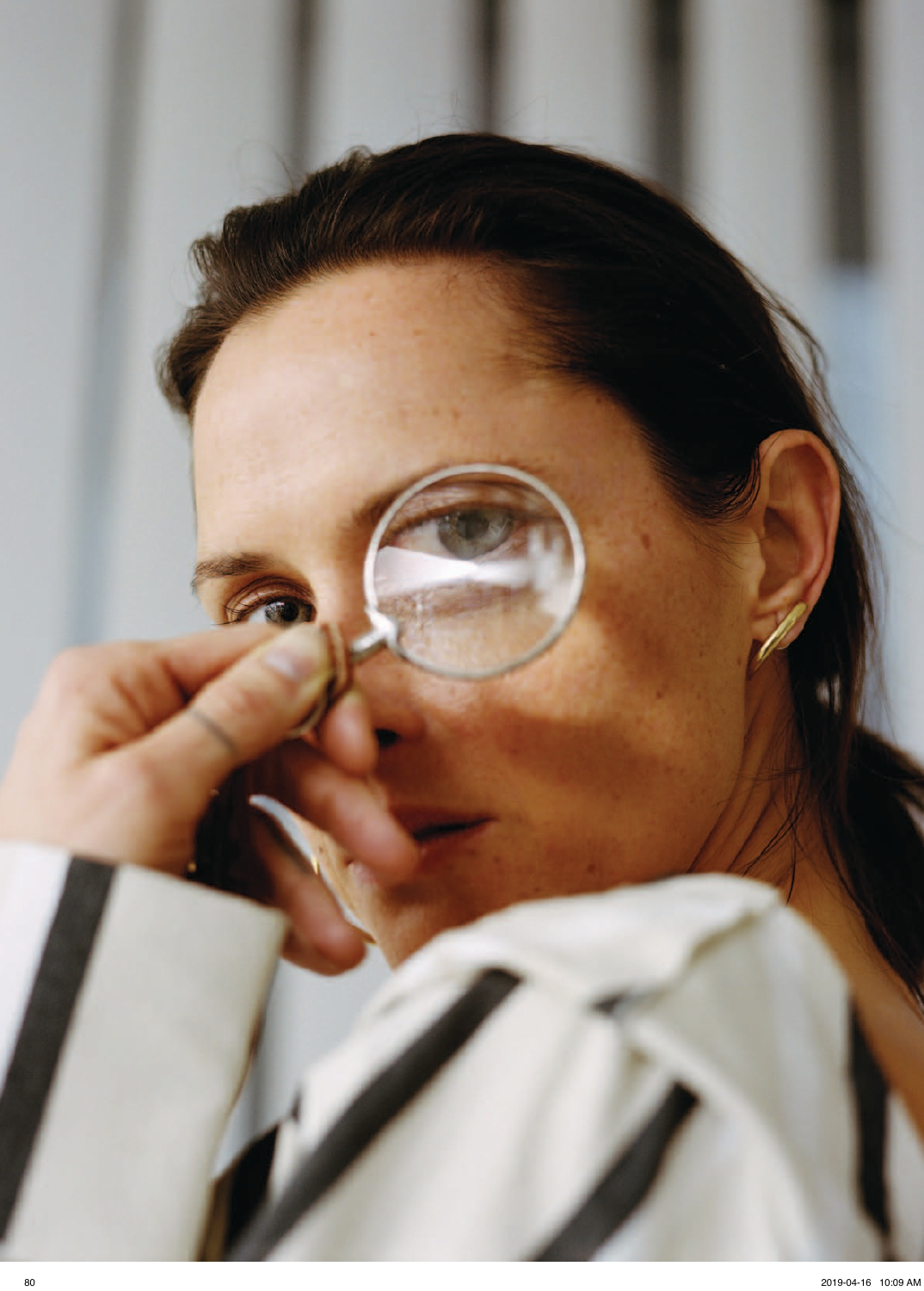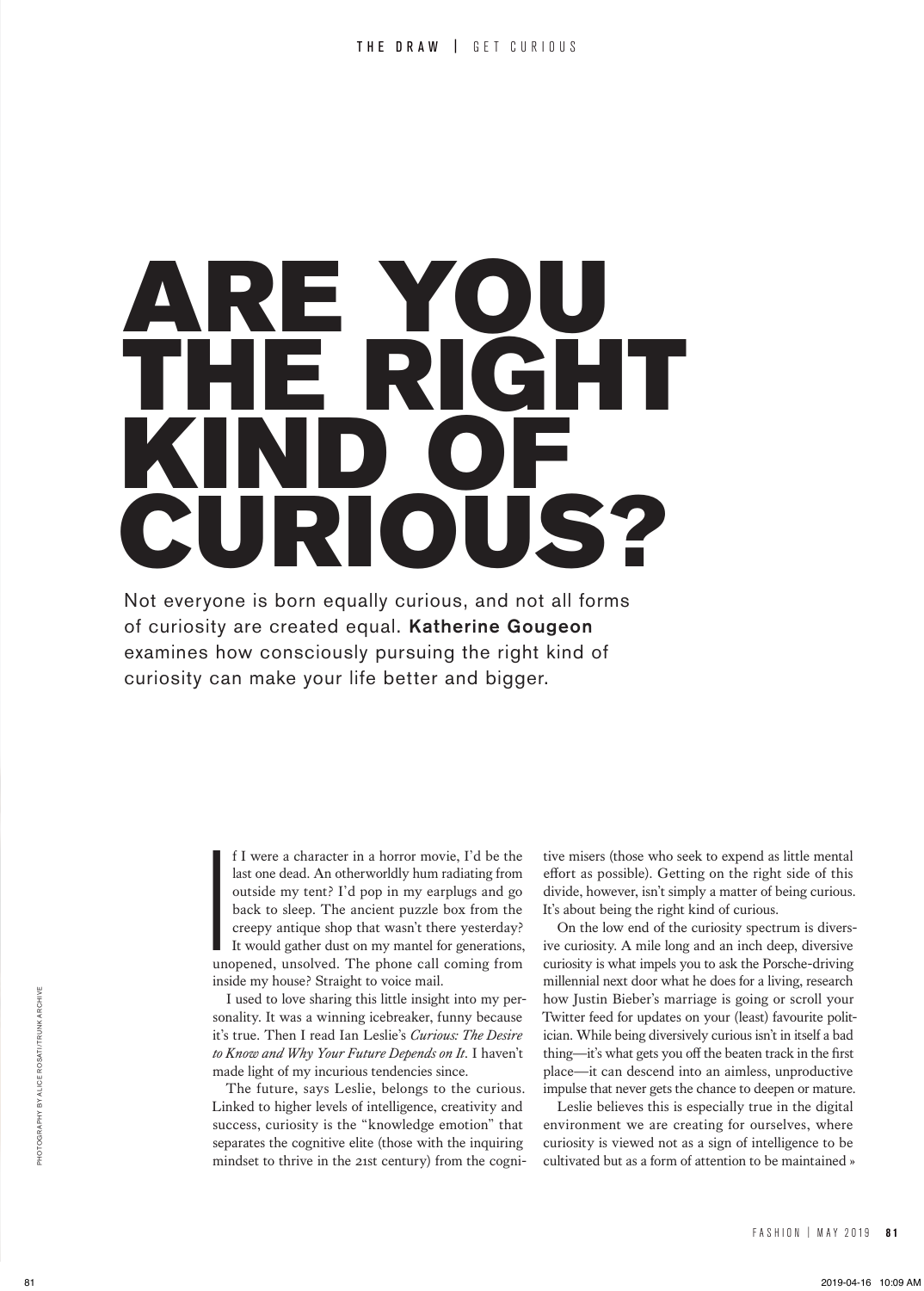# RE YO **TGHT** KIND OF CURIOUS?

Not everyone is born equally curious, and not all forms of curiosity are created equal. Katherine Gougeon examines how consciously pursuing the right kind of curiosity can make your life better and bigger.

> $\begin{array}{c}\n\text{if } \text{lg } \text{ } \text{lg } \text{ } \text{lg } \text{ } \text{lg } \text{ } \text{lg } \text{ } \text{lg } \text{ } \text{lg } \text{ } \text{lg } \text{ } \text{lg } \text{ } \text{lg } \text{ } \text{lg } \text{ } \text{lg } \text{ } \text{lg } \text{ } \text{lg } \text{ } \text{lg } \text{ } \text{lg } \text{ } \text{lg } \text{ } \text{lg } \text{ } \text{lg } \text{ } \text{lg } \text{ } \text{lg } \text{ } \text{lg } \text{ } \text{lg } \text{ }$ f I were a character in a horror movie, I'd be the last one dead. An otherworldly hum radiating from outside my tent? I'd pop in my earplugs and go back to sleep. The ancient puzzle box from the creepy antique shop that wasn't there yesterday? It would gather dust on my mantel for generations, unopened, unsolved. The phone call coming from inside my house? Straight to voice mail.

I used to love sharing this little insight into my personality. It was a winning icebreaker, funny because it's true. Then I read Ian Leslie's *Curious: The Desire to Know and Why Your Future Depends on It*. I haven't made light of my incurious tendencies since.

The future, says Leslie, belongs to the curious. Linked to higher levels of intelligence, creativity and success, curiosity is the "knowledge emotion" that separates the cognitive elite (those with the inquiring mindset to thrive in the 21st century) from the cognitive misers (those who seek to expend as little mental effort as possible). Getting on the right side of this divide, however, isn't simply a matter of being curious. It's about being the right kind of curious.

On the low end of the curiosity spectrum is diversive curiosity. A mile long and an inch deep, diversive curiosity is what impels you to ask the Porsche-driving millennial next door what he does for a living, research how Justin Bieber's marriage is going or scroll your Twitter feed for updates on your (least) favourite politician. While being diversively curious isn't in itself a bad thing—it's what gets you off the beaten track in the first place—it can descend into an aimless, unproductive impulse that never gets the chance to deepen or mature.

Leslie believes this is especially true in the digital environment we are creating for ourselves, where curiosity is viewed not as a sign of intelligence to be cultivated but as a form of attention to be maintained »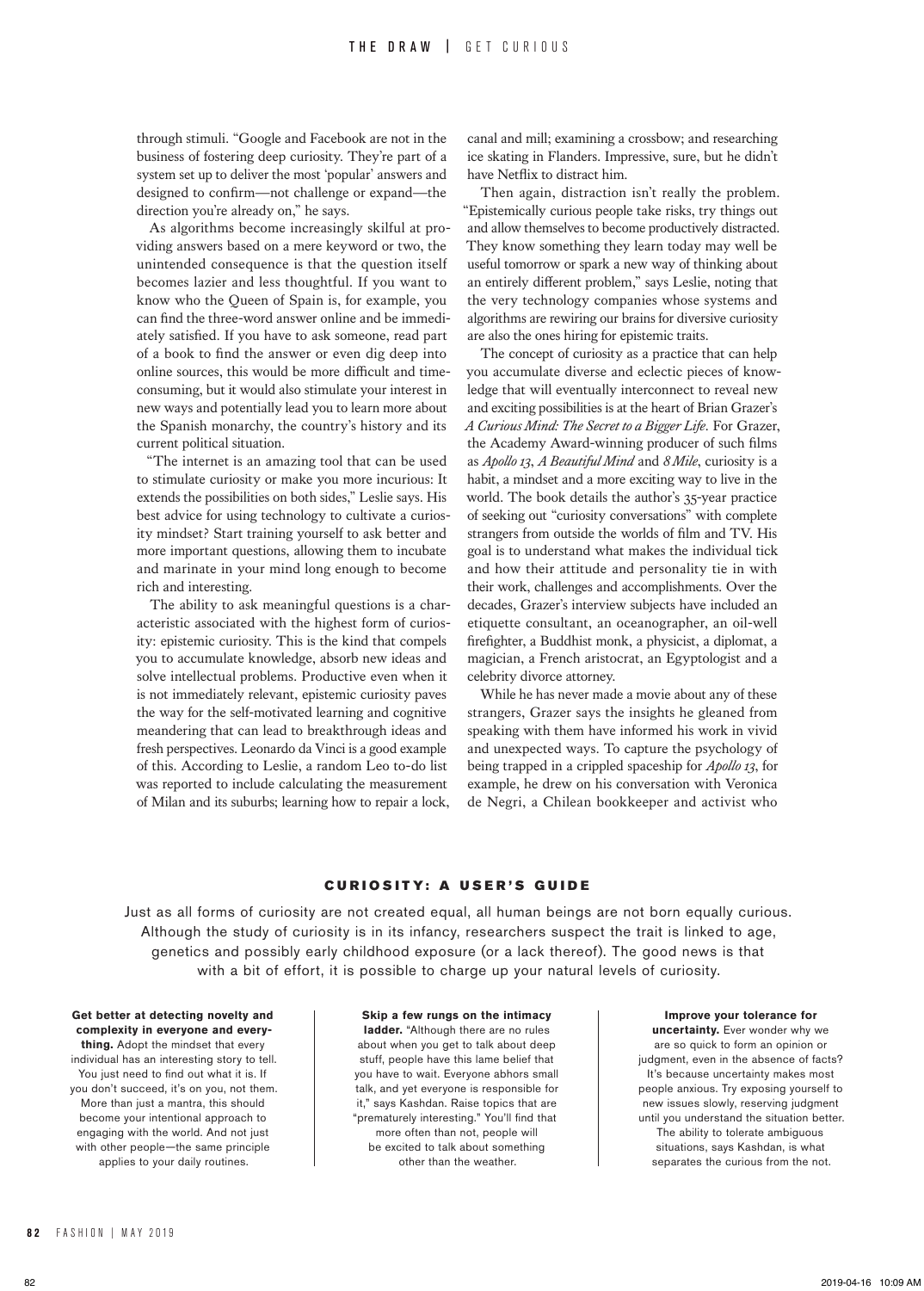through stimuli. "Google and Facebook are not in the business of fostering deep curiosity. They're part of a system set up to deliver the most 'popular' answers and designed to confirm—not challenge or expand—the direction you're already on," he says.

As algorithms become increasingly skilful at providing answers based on a mere keyword or two, the unintended consequence is that the question itself becomes lazier and less thoughtful. If you want to know who the Queen of Spain is, for example, you can find the three-word answer online and be immediately satisfied. If you have to ask someone, read part of a book to find the answer or even dig deep into online sources, this would be more difficult and timeconsuming, but it would also stimulate your interest in new ways and potentially lead you to learn more about the Spanish monarchy, the country's history and its current political situation.

"The internet is an amazing tool that can be used to stimulate curiosity or make you more incurious: It extends the possibilities on both sides," Leslie says. His best advice for using technology to cultivate a curiosity mindset? Start training yourself to ask better and more important questions, allowing them to incubate and marinate in your mind long enough to become rich and interesting.

The ability to ask meaningful questions is a characteristic associated with the highest form of curiosity: epistemic curiosity. This is the kind that compels you to accumulate knowledge, absorb new ideas and solve intellectual problems. Productive even when it is not immediately relevant, epistemic curiosity paves the way for the self-motivated learning and cognitive meandering that can lead to breakthrough ideas and fresh perspectives. Leonardo da Vinci is a good example of this. According to Leslie, a random Leo to-do list was reported to include calculating the measurement of Milan and its suburbs; learning how to repair a lock,

canal and mill; examining a crossbow; and researching ice skating in Flanders. Impressive, sure, but he didn't have Netflix to distract him.

Then again, distraction isn't really the problem. "Epistemically curious people take risks, try things out and allow themselves to become productively distracted. They know something they learn today may well be useful tomorrow or spark a new way of thinking about an entirely different problem," says Leslie, noting that the very technology companies whose systems and algorithms are rewiring our brains for diversive curiosity are also the ones hiring for epistemic traits.

The concept of curiosity as a practice that can help you accumulate diverse and eclectic pieces of knowledge that will eventually interconnect to reveal new and exciting possibilities is at the heart of Brian Grazer's *A Curious Mind: The Secret to a Bigger Life*. For Grazer, the Academy Award-winning producer of such films as *Apollo 13*, *A Beautiful Mind* and *8 Mile*, curiosity is a habit, a mindset and a more exciting way to live in the world. The book details the author's 35-year practice of seeking out "curiosity conversations" with complete strangers from outside the worlds of film and TV. His goal is to understand what makes the individual tick and how their attitude and personality tie in with their work, challenges and accomplishments. Over the decades, Grazer's interview subjects have included an etiquette consultant, an oceanographer, an oil-well firefighter, a Buddhist monk, a physicist, a diplomat, a magician, a French aristocrat, an Egyptologist and a celebrity divorce attorney.

While he has never made a movie about any of these strangers, Grazer says the insights he gleaned from speaking with them have informed his work in vivid and unexpected ways. To capture the psychology of being trapped in a crippled spaceship for *Apollo 13*, for example, he drew on his conversation with Veronica de Negri, a Chilean bookkeeper and activist who

### **CURIOSITY: A USER'S GUIDE**

Just as all forms of curiosity are not created equal, all human beings are not born equally curious. Although the study of curiosity is in its infancy, researchers suspect the trait is linked to age, genetics and possibly early childhood exposure (or a lack thereof). The good news is that with a bit of effort, it is possible to charge up your natural levels of curiosity.

**Get better at detecting novelty and complexity in everyone and every-**

**thing.** Adopt the mindset that every individual has an interesting story to tell. You just need to find out what it is. If you don't succeed, it's on you, not them. More than just a mantra, this should become your intentional approach to engaging with the world. And not just with other people—the same principle applies to your daily routines.

#### **Skip a few rungs on the intimacy**

**ladder.** "Although there are no rules about when you get to talk about deep stuff, people have this lame belief that you have to wait. Everyone abhors small talk, and yet everyone is responsible for it," says Kashdan. Raise topics that are "prematurely interesting." You'll find that more often than not, people will be excited to talk about something other than the weather.

**Improve your tolerance for uncertainty.** Ever wonder why we are so quick to form an opinion or judgment, even in the absence of facts? It's because uncertainty makes most people anxious. Try exposing yourself to new issues slowly, reserving judgment until you understand the situation better. The ability to tolerate ambiguous situations, says Kashdan, is what separates the curious from the not.